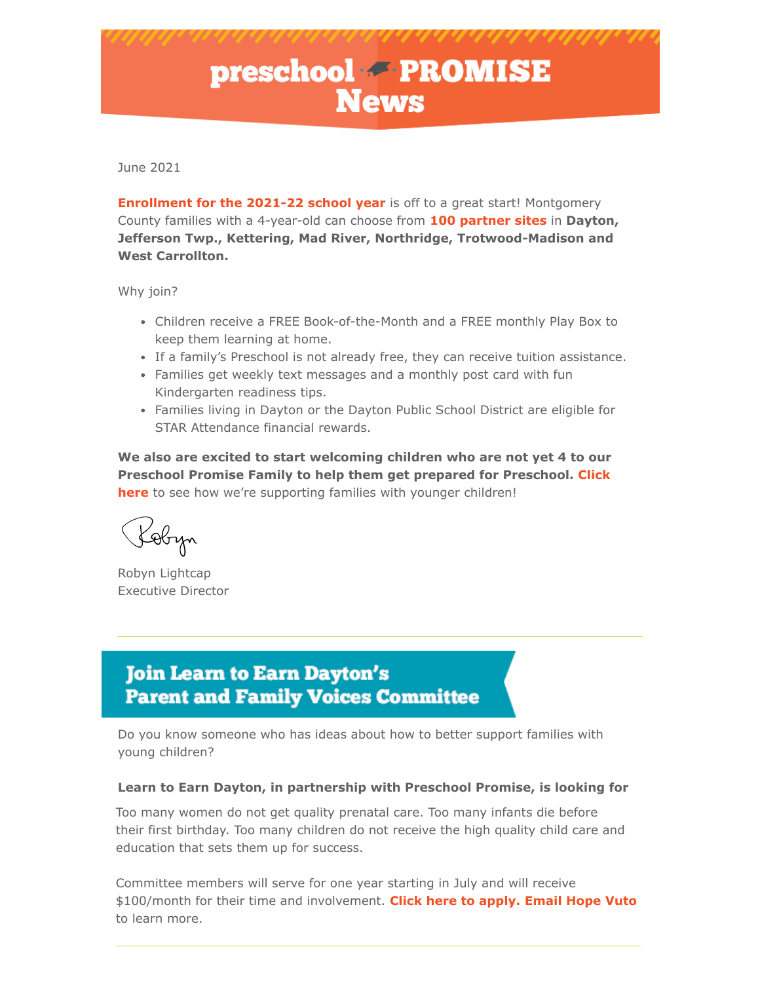# **preschool FROMISE**

June 2021

**[Enrollment for the 2021-22 school year](https://www.preschoolpromise.org/Apply.aspx)** is off to a great start! Montgomery County families with a 4-year-old can choose from **[100 partner sites](https://www.preschoolpromise.org/FindaPreschool.aspx)** in **Dayton, Jefferson Twp., Kettering, Mad River, Northridge, Trotwood-Madison and West Carrollton.**

Why join?

- Children receive a FREE Book-of-the-Month and a FREE monthly Play Box to keep them learning at home.
- If a family's Preschool is not already free, they can receive tuition assistance.
- Families get weekly text messages and a monthly post card with fun Kindergarten readiness tips.
- Families living in Dayton or the Dayton Public School District are eligible for STAR Attendance financial rewards.

**We also are excited to start welcoming children who are not yet 4 to our Preschool Promise Family to help them get prepared for Preschool. Click here** to see how we're supporting families with younger children!

Kobyn

Robyn Lightcap [Executive Director](https://www.preschoolpromise.org/Apply.aspx)

## **Join Learn to Earn Dayton's Parent and Family Voices Committee**

Do you know someone who has ideas about how to better support families with young children?

#### **Learn to Earn Dayton, in partnership with Preschool Promise, is looking for**

Too many women do not get quality prenatal care. Too many infants die before their first birthday. Too many children do not receive the high quality child care and education that sets them up for success.

Committee members will serve for one year starting in July and will receive \$100/month for their time and involvement. **Click here to apply. Email Hope Vuto** to learn more.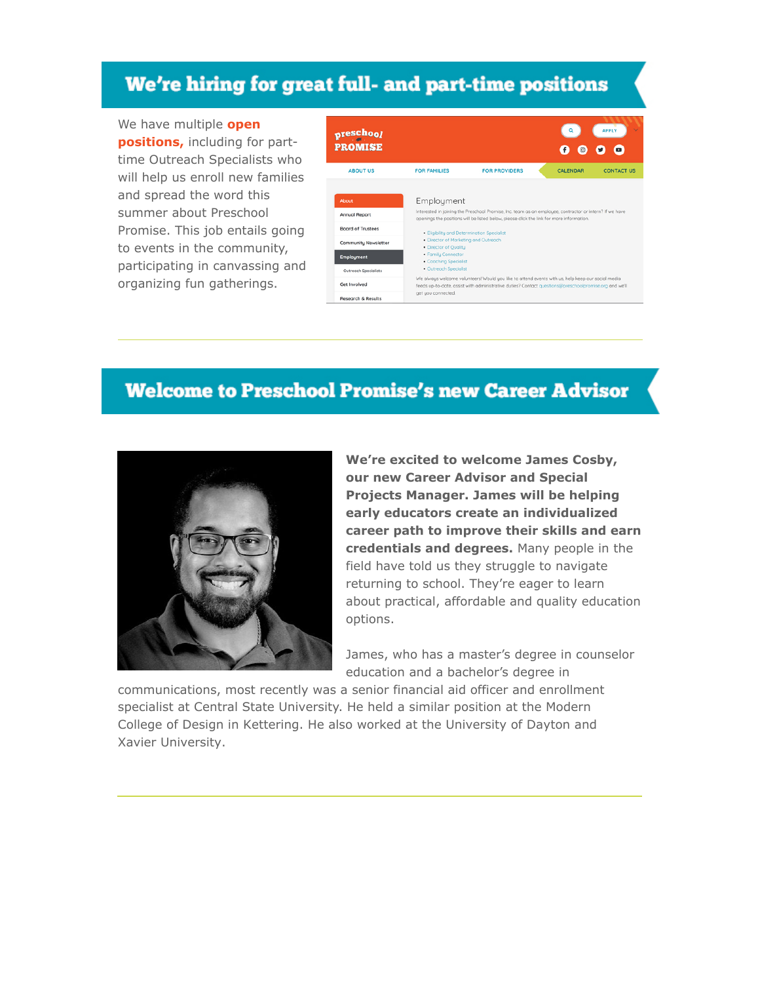## We're hiring for great full- and part-time positions

We have multiple **open positions,** including for parttime Outreach Specialists who will help us enroll new families and spread the word this summer about Preschool Promise. This job entails going to events in the community, participating in canvassing and organizing fun gatherings.



### **Welcome to Preschool Promise's new Career Advisor**



**We're excited to welcome James Cosby, our new Career Advisor and Special Projects Manager. James will be helping early educators create an individualized career path to improve their skills and earn credentials and degrees.** Many people in the field have told us they struggle to navigate returning to school. They're eager to learn about practical, affordable and quality education options.

James, who has a master's degree in counselor education and a bachelor's degree in

communications, most recently was a senior financial aid officer and enrollment specialist at Central State University. He held a similar position at the Modern College of Design in Kettering. He also worked at the University of Dayton and Xavier University.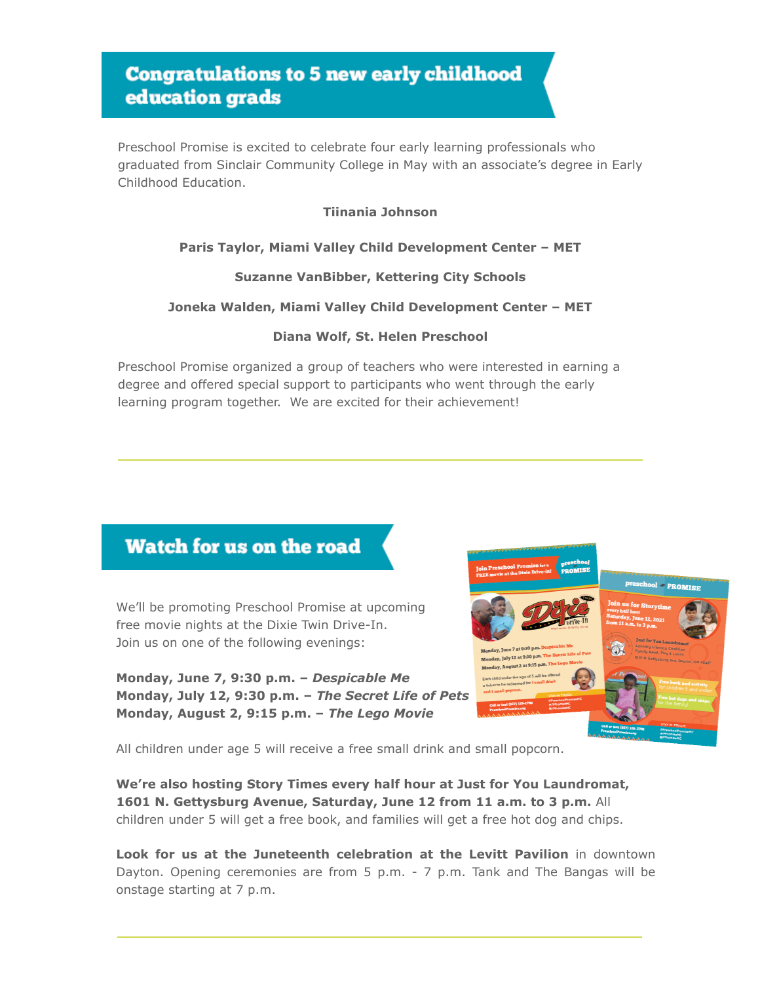## **Congratulations to 5 new early childhood** education grads

Preschool Promise is excited to celebrate four early learning professionals who graduated from Sinclair Community College in May with an associate's degree in Early Childhood Education.

#### **Tiinania Johnson**

#### **Paris Taylor, Miami Valley Child Development Center – MET**

#### **Suzanne VanBibber, Kettering City Schools**

#### **Joneka Walden, Miami Valley Child Development Center – MET**

#### **Diana Wolf, St. Helen Preschool**

Preschool Promise organized a group of teachers who were interested in earning a degree and offered special support to participants who went through the early learning program together. We are excited for their achievement!

## Watch for us on the road

We'll be promoting Preschool Promise at upcoming free movie nights at the Dixie Twin Drive-In. Join us on one of the following evenings:

**Monday, June 7, 9:30 p.m. –** *Despicable Me* **Monday, July 12, 9:30 p.m. –** *The Secret Life of Pets* **Monday, August 2, 9:15 p.m. –** *The Lego Movie*



All children under age 5 will receive a free small drink and small popcorn.

**We're also hosting Story Times every half hour at Just for You Laundromat, 1601 N. Gettysburg Avenue, Saturday, June 12 from 11 a.m. to 3 p.m.** All children under 5 will get a free book, and families will get a free hot dog and chips.

**Look for us at the Juneteenth celebration at the Levitt Pavilion** in downtown Dayton. Opening ceremonies are from 5 p.m. - 7 p.m. Tank and The Bangas will be onstage starting at 7 p.m.